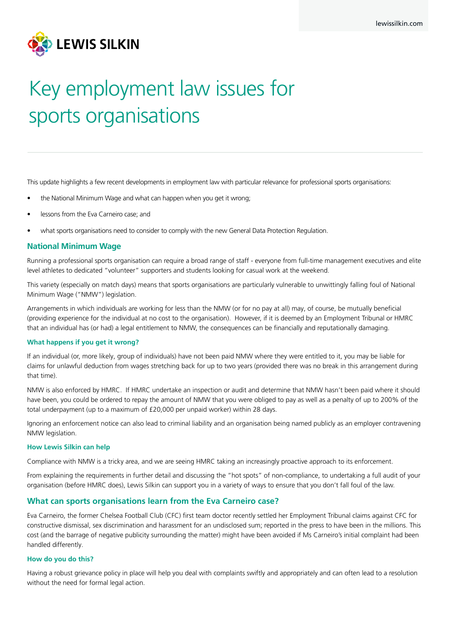

# Key employment law issues for sports organisations

This update highlights a few recent developments in employment law with particular relevance for professional sports organisations:

- the National Minimum Wage and what can happen when you get it wrong;
- lessons from the Eva Carneiro case; and
- what sports organisations need to consider to comply with the new General Data Protection Regulation.

# **National Minimum Wage**

Running a professional sports organisation can require a broad range of staff - everyone from full-time management executives and elite level athletes to dedicated "volunteer" supporters and students looking for casual work at the weekend.

This variety (especially on match days) means that sports organisations are particularly vulnerable to unwittingly falling foul of National Minimum Wage ("NMW") legislation.

Arrangements in which individuals are working for less than the NMW (or for no pay at all) may, of course, be mutually beneficial (providing experience for the individual at no cost to the organisation). However, if it is deemed by an Employment Tribunal or HMRC that an individual has (or had) a legal entitlement to NMW, the consequences can be financially and reputationally damaging.

## **What happens if you get it wrong?**

If an individual (or, more likely, group of individuals) have not been paid NMW where they were entitled to it, you may be liable for claims for unlawful deduction from wages stretching back for up to two years (provided there was no break in this arrangement during that time).

NMW is also enforced by HMRC. If HMRC undertake an inspection or audit and determine that NMW hasn't been paid where it should have been, you could be ordered to repay the amount of NMW that you were obliged to pay as well as a penalty of up to 200% of the total underpayment (up to a maximum of £20,000 per unpaid worker) within 28 days.

Ignoring an enforcement notice can also lead to criminal liability and an organisation being named publicly as an employer contravening NMW legislation.

#### **How Lewis Silkin can help**

Compliance with NMW is a tricky area, and we are seeing HMRC taking an increasingly proactive approach to its enforcement.

From explaining the requirements in further detail and discussing the "hot spots" of non-compliance, to undertaking a full audit of your organisation (before HMRC does), Lewis Silkin can support you in a variety of ways to ensure that you don't fall foul of the law.

# **What can sports organisations learn from the Eva Carneiro case?**

Eva Carneiro, the former Chelsea Football Club (CFC) first team doctor recently settled her Employment Tribunal claims against CFC for constructive dismissal, sex discrimination and harassment for an undisclosed sum; reported in the press to have been in the millions. This cost (and the barrage of negative publicity surrounding the matter) might have been avoided if Ms Carneiro's initial complaint had been handled differently.

## **How do you do this?**

Having a robust grievance policy in place will help you deal with complaints swiftly and appropriately and can often lead to a resolution without the need for formal legal action.